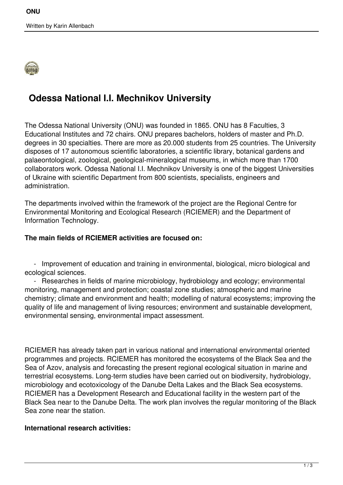

# **Odessa National I.I. Mechnikov University**

The Odessa National University (ONU) was founded in 1865. ONU has 8 Faculties, 3 Educational Institutes and 72 chairs. ONU prepares bachelors, holders of master and Ph.D. degrees in 30 specialties. There are more as 20.000 students from 25 countries. The University disposes of 17 autonomous scientific laboratories, a scientific library, botanical gardens and palaeontological, zoological, geological-mineralogical museums, in which more than 1700 collaborators work. Odessa National I.I. Mechnikov University is one of the biggest Universities of Ukraine with scientific Department from 800 scientists, specialists, engineers and administration.

The departments involved within the framework of the project are the Regional Centre for Environmental Monitoring and Ecological Research (RCIEMER) and the Department of Information Technology.

#### **The main fields of RCIEMER activities are focused on:**

 - Improvement of education and training in environmental, biological, micro biological and ecological sciences.

 - Researches in fields of marine microbiology, hydrobiology and ecology; environmental monitoring, management and protection; coastal zone studies; atmospheric and marine chemistry; climate and environment and health; modelling of natural ecosystems; improving the quality of life and management of living resources; environment and sustainable development, environmental sensing, environmental impact assessment.

RCIEMER has already taken part in various national and international environmental oriented programmes and projects. RCIEMER has monitored the ecosystems of the Black Sea and the Sea of Azov, analysis and forecasting the present regional ecological situation in marine and terrestrial ecosystems. Long-term studies have been carried out on biodiversity, hydrobiology, microbiology and ecotoxicology of the Danube Delta Lakes and the Black Sea ecosystems. RCIEMER has a Development Research and Educational facility in the western part of the Black Sea near to the Danube Delta. The work plan involves the regular monitoring of the Black Sea zone near the station.

#### **International research activities:**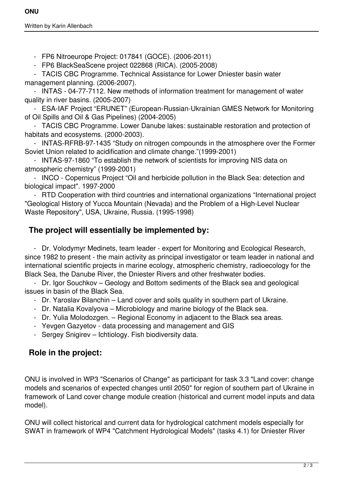Written by Karin Allenbach

- FP6 Nitroeurope Project: 017841 (GOCE). (2006-2011)

- FP6 BlackSeaScene project 022868 (RICA). (2005-2008)

 - TACIS CBC Programme. Technical Assistance for Lower Dniester basin water management planning. (2006-2007).

 - INTAS - 04-77-7112. New methods of information treatment for management of water quality in river basins. (2005-2007)

 - ESA-IAF Project "ERUNET" (European-Russian-Ukrainian GMES Network for Monitoring of Oil Spills and Oil & Gas Pipelines) (2004-2005)

 - TACIS CBC Programme. Lower Danube lakes: sustainable restoration and protection of habitats and ecosystems. (2000-2003).

 - INTAS-RFRB-97-1435 "Study on nitrogen compounds in the atmosphere over the Former Soviet Union related to acidification and climate change."(1999-2001)

 - INTAS-97-1860 "To establish the network of scientists for improving NIS data on atmospheric chemistry" (1999-2001)

 - INCO - Copernicus Project "Oil and herbicide pollution in the Black Sea: detection and biological impact". 1997-2000

 - RTD Cooperation with third countries and international organizations "International project "Geological History of Yucca Mountain (Nevada) and the Problem of a High-Level Nuclear Waste Repository", USA, Ukraine, Russia. (1995-1998)

### **The project will essentially be implemented by:**

 - Dr. Volodymyr Medinets, team leader - expert for Monitoring and Ecological Research, since 1982 to present - the main activity as principal investigator or team leader in national and international scientific projects in marine ecology, atmospheric chemistry, radioecology for the Black Sea, the Danube River, the Dniester Rivers and other freshwater bodies.

 - Dr. Igor Souchkov – Geology and Bottom sediments of the Black sea and geological issues in basin of the Black Sea.

- Dr. Yaroslav Bilanchin Land cover and soils quality in southern part of Ukraine.
- Dr. Natalia Kovalyova Microbiology and marine biology of the Black sea.
- Dr. Yulia Molodozgen. Regional Economy in adjacent to the Black sea areas.
- Yevgen Gazyetov data processing and management and GIS
- Sergey Snigirev Ichtiology. Fish biodiversity data.

## **Role in the project:**

ONU is involved in WP3 "Scenarios of Change" as participant for task 3.3 "Land cover: change models and scenarios of expected changes until 2050" for region of southern part of Ukraine in framework of Land cover change module creation (historical and current model inputs and data model).

ONU will collect historical and current data for hydrological catchment models especially for SWAT in framework of WP4 "Catchment Hydrological Models" (tasks 4.1) for Dniester River